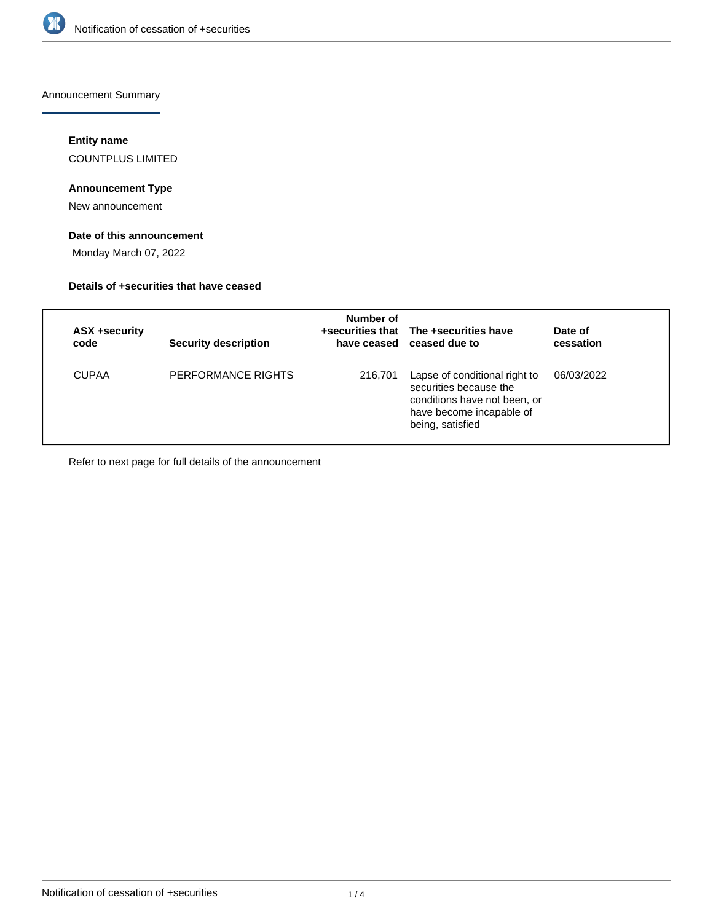

Announcement Summary

### **Entity name**

COUNTPLUS LIMITED

## **Announcement Type**

New announcement

## **Date of this announcement**

Monday March 07, 2022

### **Details of +securities that have ceased**

| ASX +security<br>code | <b>Security description</b> | Number of | +securities that The +securities have<br>have ceased ceased due to                                                                      | Date of<br>cessation |
|-----------------------|-----------------------------|-----------|-----------------------------------------------------------------------------------------------------------------------------------------|----------------------|
| <b>CUPAA</b>          | PERFORMANCE RIGHTS          | 216,701   | Lapse of conditional right to<br>securities because the<br>conditions have not been, or<br>have become incapable of<br>being, satisfied | 06/03/2022           |

Refer to next page for full details of the announcement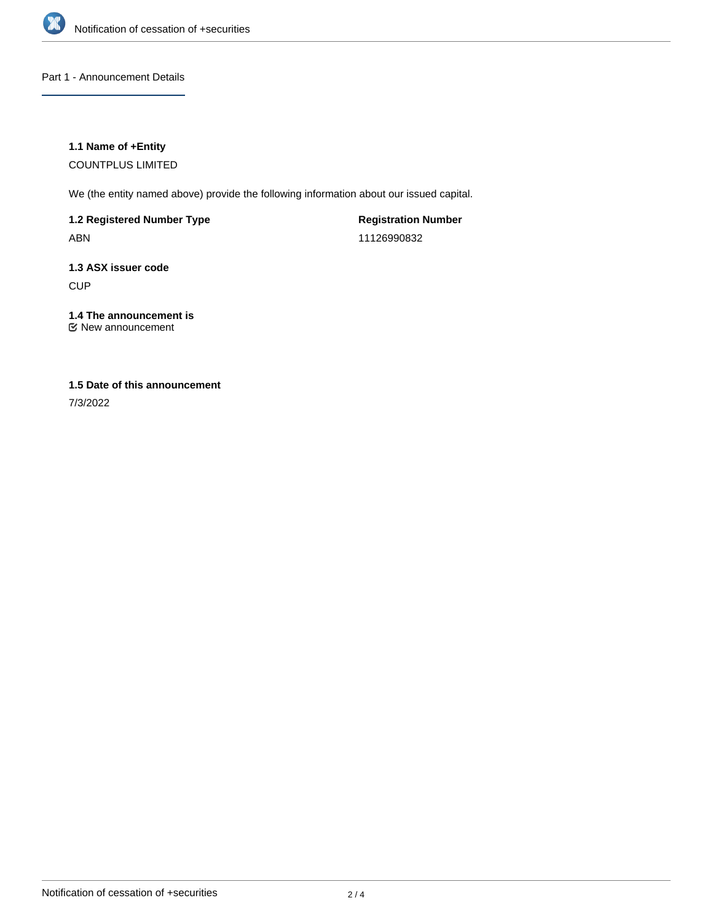

Part 1 - Announcement Details

### **1.1 Name of +Entity**

COUNTPLUS LIMITED

We (the entity named above) provide the following information about our issued capital.

**1.2 Registered Number Type** ABN

**Registration Number** 11126990832

**1.3 ASX issuer code CUP** 

**1.4 The announcement is** New announcement

## **1.5 Date of this announcement**

7/3/2022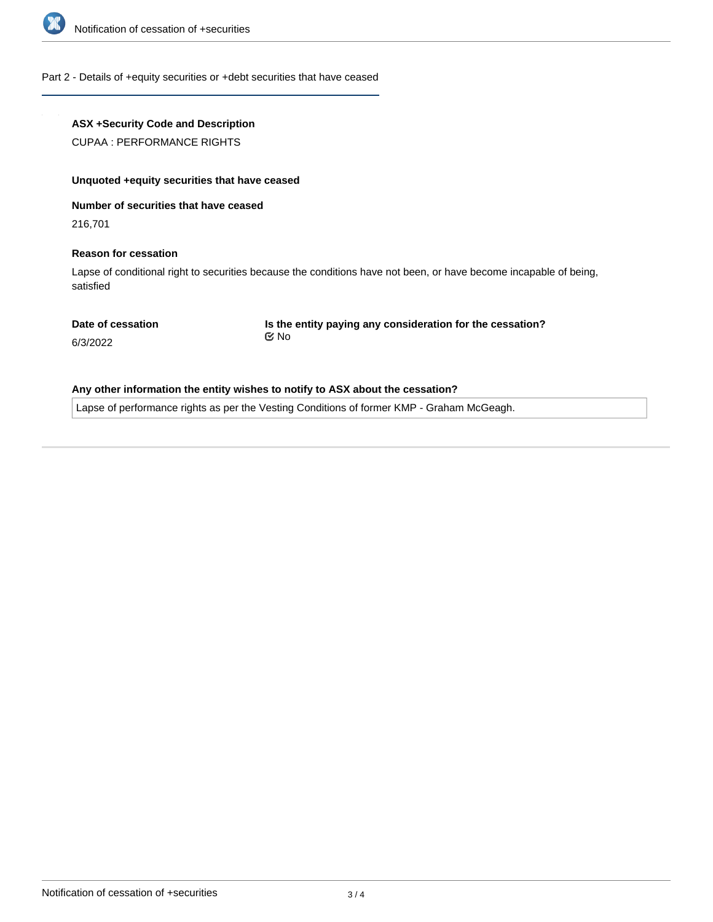

#### Part 2 - Details of +equity securities or +debt securities that have ceased

### **ASX +Security Code and Description**

CUPAA : PERFORMANCE RIGHTS

#### **Unquoted +equity securities that have ceased**

**Number of securities that have ceased**

216,701

#### **Reason for cessation**

Lapse of conditional right to securities because the conditions have not been, or have become incapable of being, satisfied

**Date of cessation**

**Is the entity paying any consideration for the cessation?** No

6/3/2022

### **Any other information the entity wishes to notify to ASX about the cessation?**

Lapse of performance rights as per the Vesting Conditions of former KMP - Graham McGeagh.